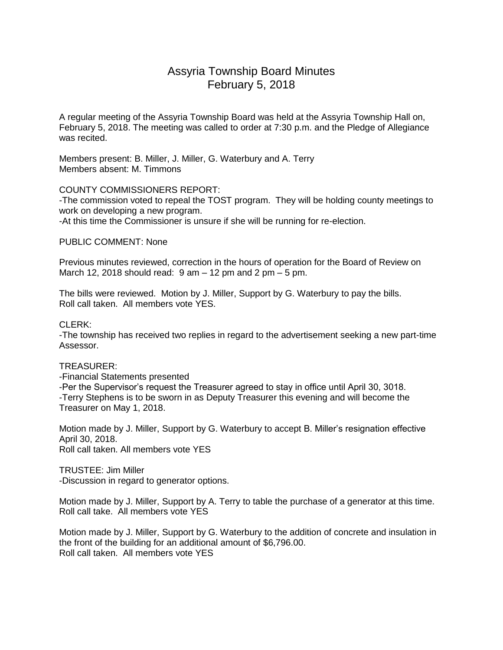# Assyria Township Board Minutes February 5, 2018

A regular meeting of the Assyria Township Board was held at the Assyria Township Hall on, February 5, 2018. The meeting was called to order at 7:30 p.m. and the Pledge of Allegiance was recited.

Members present: B. Miller, J. Miller, G. Waterbury and A. Terry Members absent: M. Timmons

# COUNTY COMMISSIONERS REPORT:

-The commission voted to repeal the TOST program. They will be holding county meetings to work on developing a new program.

-At this time the Commissioner is unsure if she will be running for re-election.

#### PUBLIC COMMENT: None

Previous minutes reviewed, correction in the hours of operation for the Board of Review on March 12, 2018 should read:  $9$  am  $-$  12 pm and 2 pm  $-$  5 pm.

The bills were reviewed. Motion by J. Miller, Support by G. Waterbury to pay the bills. Roll call taken. All members vote YES.

#### CLERK:

-The township has received two replies in regard to the advertisement seeking a new part-time Assessor.

#### TREASURER:

-Financial Statements presented

-Per the Supervisor's request the Treasurer agreed to stay in office until April 30, 3018. -Terry Stephens is to be sworn in as Deputy Treasurer this evening and will become the Treasurer on May 1, 2018.

Motion made by J. Miller, Support by G. Waterbury to accept B. Miller's resignation effective April 30, 2018. Roll call taken. All members vote YES

TRUSTEE: Jim Miller -Discussion in regard to generator options.

Motion made by J. Miller, Support by A. Terry to table the purchase of a generator at this time. Roll call take. All members vote YES

Motion made by J. Miller, Support by G. Waterbury to the addition of concrete and insulation in the front of the building for an additional amount of \$6,796.00. Roll call taken. All members vote YES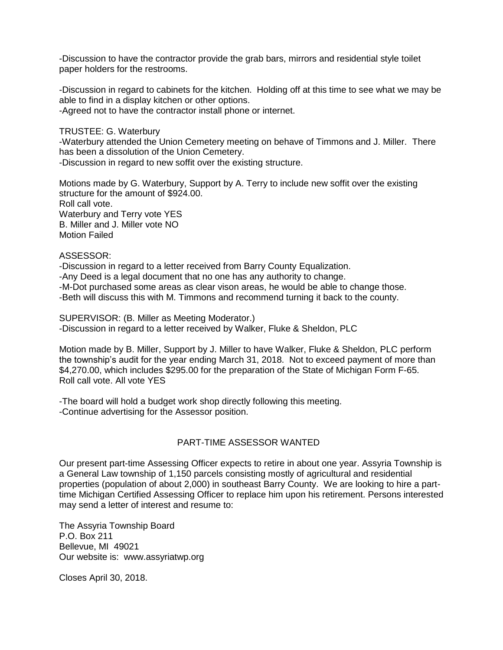-Discussion to have the contractor provide the grab bars, mirrors and residential style toilet paper holders for the restrooms.

-Discussion in regard to cabinets for the kitchen. Holding off at this time to see what we may be able to find in a display kitchen or other options. -Agreed not to have the contractor install phone or internet.

TRUSTEE: G. Waterbury

-Waterbury attended the Union Cemetery meeting on behave of Timmons and J. Miller. There has been a dissolution of the Union Cemetery.

-Discussion in regard to new soffit over the existing structure.

Motions made by G. Waterbury, Support by A. Terry to include new soffit over the existing structure for the amount of \$924.00. Roll call vote. Waterbury and Terry vote YES B. Miller and J. Miller vote NO Motion Failed

#### ASSESSOR:

-Discussion in regard to a letter received from Barry County Equalization. -Any Deed is a legal document that no one has any authority to change. -M-Dot purchased some areas as clear vison areas, he would be able to change those. -Beth will discuss this with M. Timmons and recommend turning it back to the county.

SUPERVISOR: (B. Miller as Meeting Moderator.) -Discussion in regard to a letter received by Walker, Fluke & Sheldon, PLC

Motion made by B. Miller, Support by J. Miller to have Walker, Fluke & Sheldon, PLC perform the township's audit for the year ending March 31, 2018. Not to exceed payment of more than \$4,270.00, which includes \$295.00 for the preparation of the State of Michigan Form F-65. Roll call vote. All vote YES

-The board will hold a budget work shop directly following this meeting. -Continue advertising for the Assessor position.

# PART-TIME ASSESSOR WANTED

Our present part-time Assessing Officer expects to retire in about one year. Assyria Township is a General Law township of 1,150 parcels consisting mostly of agricultural and residential properties (population of about 2,000) in southeast Barry County. We are looking to hire a parttime Michigan Certified Assessing Officer to replace him upon his retirement. Persons interested may send a letter of interest and resume to:

The Assyria Township Board P.O. Box 211 Bellevue, MI 49021 Our website is: www.assyriatwp.org

Closes April 30, 2018.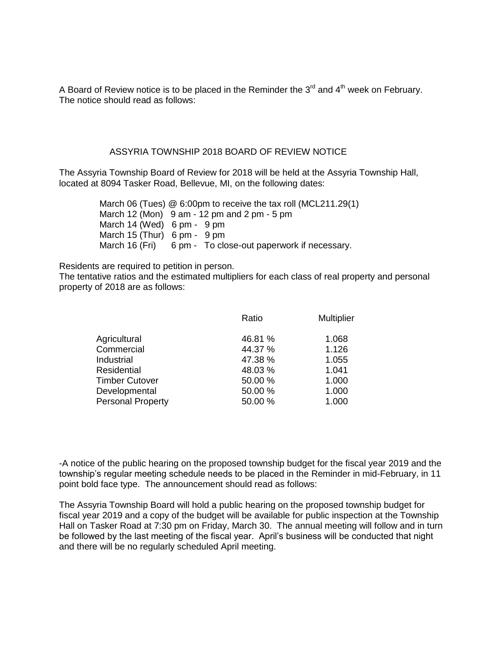A Board of Review notice is to be placed in the Reminder the  $3<sup>rd</sup>$  and  $4<sup>th</sup>$  week on February. The notice should read as follows:

#### ASSYRIA TOWNSHIP 2018 BOARD OF REVIEW NOTICE

The Assyria Township Board of Review for 2018 will be held at the Assyria Township Hall, located at 8094 Tasker Road, Bellevue, MI, on the following dates:

> March 06 (Tues) @ 6:00pm to receive the tax roll (MCL211.29(1) March 12 (Mon) 9 am - 12 pm and 2 pm - 5 pm March 14 (Wed) 6 pm - 9 pm March 15 (Thur) 6 pm - 9 pm March 16 (Fri) 6 pm - To close-out paperwork if necessary.

Residents are required to petition in person.

The tentative ratios and the estimated multipliers for each class of real property and personal property of 2018 are as follows:

|                          | Ratio   | <b>Multiplier</b> |
|--------------------------|---------|-------------------|
| Agricultural             | 46.81 % | 1.068             |
| Commercial               | 44.37 % | 1.126             |
| Industrial               | 47.38 % | 1.055             |
| <b>Residential</b>       | 48.03%  | 1.041             |
| <b>Timber Cutover</b>    | 50.00 % | 1.000             |
| Developmental            | 50.00 % | 1.000             |
| <b>Personal Property</b> | 50.00 % | 1.000             |

-A notice of the public hearing on the proposed township budget for the fiscal year 2019 and the township's regular meeting schedule needs to be placed in the Reminder in mid-February, in 11 point bold face type. The announcement should read as follows:

The Assyria Township Board will hold a public hearing on the proposed township budget for fiscal year 2019 and a copy of the budget will be available for public inspection at the Township Hall on Tasker Road at 7:30 pm on Friday, March 30. The annual meeting will follow and in turn be followed by the last meeting of the fiscal year. April's business will be conducted that night and there will be no regularly scheduled April meeting.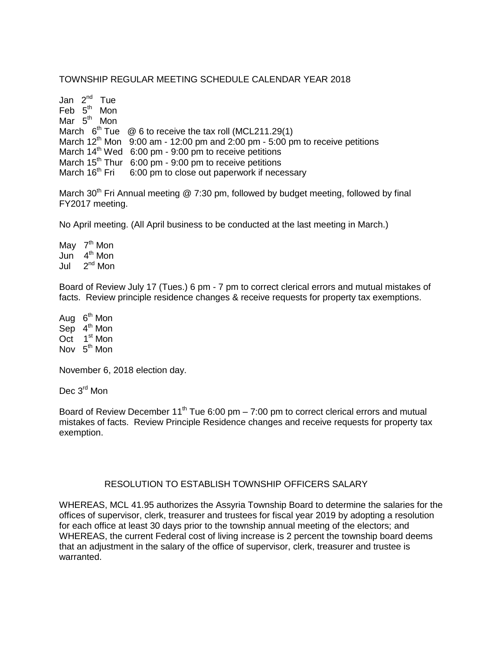## TOWNSHIP REGULAR MEETING SCHEDULE CALENDAR YEAR 2018

Jan 2<sup>nd</sup> Tue Feb 5<sup>th</sup> Mon Mar 5<sup>th</sup> Mon March  $6^{th}$  Tue  $\oslash$  6 to receive the tax roll (MCL211.29(1) March  $12^{th}$  Mon 9:00 am - 12:00 pm and 2:00 pm - 5:00 pm to receive petitions March  $14<sup>th</sup>$  Wed 6:00 pm - 9:00 pm to receive petitions March 15<sup>th</sup> Thur 6:00 pm - 9:00 pm to receive petitions<br>March 16<sup>th</sup> Fri 6:00 pm to close out paperwork if nece 6:00 pm to close out paperwork if necessary

March 30<sup>th</sup> Fri Annual meeting  $@ 7:30$  pm, followed by budget meeting, followed by final FY2017 meeting.

No April meeting. (All April business to be conducted at the last meeting in March.)

May 7<sup>th</sup> Mon Jun 4 th Mon Jul 2  $2<sup>nd</sup>$  Mon

Board of Review July 17 (Tues.) 6 pm - 7 pm to correct clerical errors and mutual mistakes of facts. Review principle residence changes & receive requests for property tax exemptions.

Aug 6<sup>th</sup> Mon Sep  $4^{\text{th}}$  Mon Oct 1<sup>st</sup> Mon Nov 5<sup>th</sup> Mon

November 6, 2018 election day.

Dec 3<sup>rd</sup> Mon

Board of Review December 11<sup>th</sup> Tue 6:00 pm – 7:00 pm to correct clerical errors and mutual mistakes of facts. Review Principle Residence changes and receive requests for property tax exemption.

### RESOLUTION TO ESTABLISH TOWNSHIP OFFICERS SALARY

WHEREAS, MCL 41.95 authorizes the Assyria Township Board to determine the salaries for the offices of supervisor, clerk, treasurer and trustees for fiscal year 2019 by adopting a resolution for each office at least 30 days prior to the township annual meeting of the electors; and WHEREAS, the current Federal cost of living increase is 2 percent the township board deems that an adjustment in the salary of the office of supervisor, clerk, treasurer and trustee is warranted.